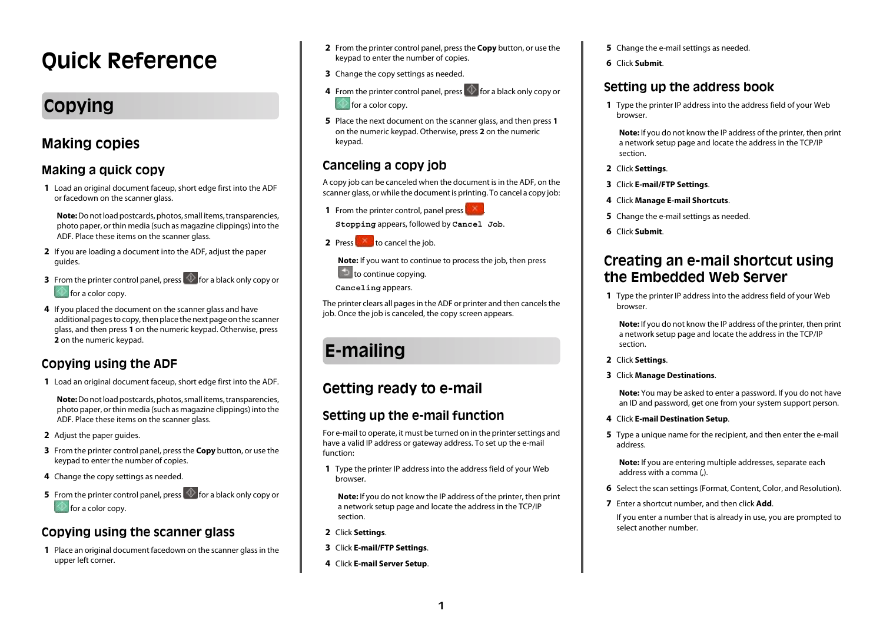# **Quick Reference**

# **Copying**

## **Making copies**

## **Making a quick copy**

**1** Load an original document faceup, short edge first into the ADF or facedown on the scanner glass.

**Note:** Do not load postcards, photos, small items, transparencies, photo paper, or thin media (such as magazine clippings) into the ADF. Place these items on the scanner glass.

- **2** If you are loading a document into the ADF, adjust the paper guides.
- **3** From the printer control panel, press  $\Diamond$  for a black only copy or for a color copy.
- **4** If you placed the document on the scanner glass and have additional pages to copy, then place the next page on the scanner glass, and then press **1** on the numeric keypad. Otherwise, press **2** on the numeric keypad.

## **Copying using the ADF**

**1** Load an original document faceup, short edge first into the ADF.

**Note:** Do not load postcards, photos, small items, transparencies, photo paper, or thin media (such as magazine clippings) into the ADF. Place these items on the scanner glass.

- **2** Adjust the paper guides.
- **3** From the printer control panel, press the **Copy** button, or use the keypad to enter the number of copies.
- **4** Change the copy settings as needed.
- **5** From the printer control panel, press  $\circled{1}$  for a black only copy or for a color copy.

## **Copying using the scanner glass**

**1** Place an original document facedown on the scanner glass in the upper left corner.

- **2** From the printer control panel, press the **Copy** button, or use the keypad to enter the number of copies.
- **3** Change the copy settings as needed.
- **4** From the printer control panel, press  $\Diamond$  for a black only copy or **for a color copy.**
- **5** Place the next document on the scanner glass, and then press **1** on the numeric keypad. Otherwise, press **2** on the numeric keypad.

## **Canceling a copy job**

A copy job can be canceled when the document is in the ADF, on the scanner glass, or while the document is printing. To cancel a copy job:

**1** From the printer control, panel press  $\mathbb{R}$ 

**Stopping** appears, followed by **Cancel Job**.

**2** Press to cancel the job.

**Note:** If you want to continue to process the job, then press  $\Box$  to continue copying.

**Canceling** appears.

The printer clears all pages in the ADF or printer and then cancels the job. Once the job is canceled, the copy screen appears.

# **E-mailing**

## **Getting ready to e-mail**

### **Setting up the e-mail function**

For e-mail to operate, it must be turned on in the printer settings and have a valid IP address or gateway address. To set up the e-mail function:

**1** Type the printer IP address into the address field of your Web browser.

**Note:** If you do not know the IP address of the printer, then print a network setup page and locate the address in the TCP/IP section.

- **2** Click **Settings**.
- **3** Click **E-mail/FTP Settings**.
- **4** Click **E-mail Server Setup**.
- **5** Change the e-mail settings as needed.
- **6** Click **Submit**.

## **Setting up the address book**

**1** Type the printer IP address into the address field of your Web browser.

**Note:** If you do not know the IP address of the printer, then print a network setup page and locate the address in the TCP/IP section.

- **2** Click **Settings**.
- **3** Click **E-mail/FTP Settings**.
- **4** Click **Manage E-mail Shortcuts**.
- **5** Change the e-mail settings as needed.
- **6** Click **Submit**.

## **Creating an e-mail shortcut using the Embedded Web Server**

**1** Type the printer IP address into the address field of your Web browser.

**Note:** If you do not know the IP address of the printer, then print a network setup page and locate the address in the TCP/IP section.

- **2** Click **Settings**.
- **3** Click **Manage Destinations**.

**Note:** You may be asked to enter a password. If you do not have an ID and password, get one from your system support person.

- **4** Click **E-mail Destination Setup**.
- **5** Type a unique name for the recipient, and then enter the e-mail address.

**Note:** If you are entering multiple addresses, separate each address with a comma (,).

- **6** Select the scan settings (Format, Content, Color, and Resolution).
- **7** Enter a shortcut number, and then click **Add**.

If you enter a number that is already in use, you are prompted to select another number.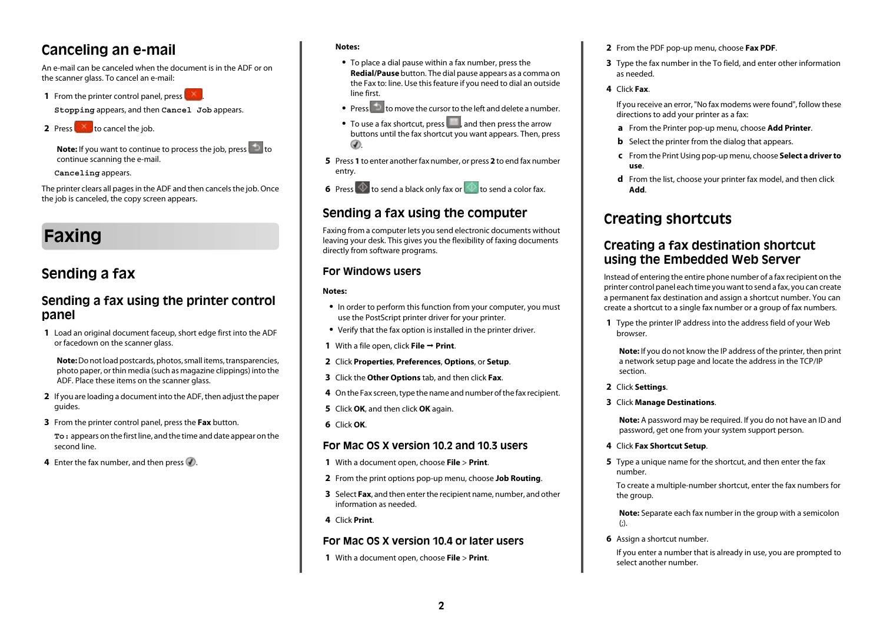## **Canceling an e-mail**

An e-mail can be canceled when the document is in the ADF or on the scanner glass. To cancel an e-mail:

**1** From the printer control panel, press

**Stopping** appears, and then **Cancel Job** appears.

**2** Press to cancel the job.

**Note:** If you want to continue to process the job, press **the inter**continue scanning the e-mail.

**Canceling** appears.

The printer clears all pages in the ADF and then cancels the job. Once the job is canceled, the copy screen appears.

# **Faxing**

## **Sending a fax**

### **Sending a fax using the printer control panel**

**1** Load an original document faceup, short edge first into the ADF or facedown on the scanner glass.

**Note:** Do not load postcards, photos, small items, transparencies, photo paper, or thin media (such as magazine clippings) into the ADF. Place these items on the scanner glass.

- **2** If you are loading a document into the ADF, then adjust the paper guides.
- **3** From the printer control panel, press the **Fax** button.

**To:** appears on the first line, and the time and date appear on the second line.

**4** Enter the fax number, and then press  $\mathcal{D}$ .

#### **Notes:**

- **•** To place a dial pause within a fax number, press the **Redial/Pause** button. The dial pause appears as a comma on the Fax to: line. Use this feature if you need to dial an outside line first.
- Press to move the cursor to the left and delete a number.
- To use a fax shortcut, press , and then press the arrow buttons until the fax shortcut you want appears. Then, press  $\circledast$
- **5** Press **1** to enter another fax number, or press **2** to end fax number entry.
- **6** Press  $\Phi$  to send a black only fax or the send a color fax.

### **Sending a fax using the computer**

Faxing from a computer lets you send electronic documents without leaving your desk. This gives you the flexibility of faxing documents directly from software programs.

#### **For Windows users**

#### **Notes:**

- **•** In order to perform this function from your computer, you must use the PostScript printer driver for your printer.
- **•** Verify that the fax option is installed in the printer driver.
- **1** With a file open, click **File**  $\rightarrow$  **Print**.
- **2** Click **Properties**, **Preferences**, **Options**, or **Setup**.
- **3** Click the **Other Options** tab, and then click **Fax**.
- **4** On the Fax screen, type the name and number of the fax recipient.
- **5** Click **OK**, and then click **OK** again.
- **6** Click **OK**.

#### **For Mac OS X version 10.2 and 10.3 users**

- **1** With a document open, choose **File** > **Print**.
- **2** From the print options pop-up menu, choose **Job Routing**.
- **3** Select **Fax**, and then enter the recipient name, number, and other information as needed.
- **4** Click **Print**.

#### **For Mac OS X version 10.4 or later users**

**1** With a document open, choose **File** > **Print**.

- **2** From the PDF pop-up menu, choose **Fax PDF**.
- **3** Type the fax number in the To field, and enter other information as needed.

#### **4** Click **Fax**.

If you receive an error, "No fax modems were found", follow these directions to add your printer as a fax:

- **a** From the Printer pop-up menu, choose **Add Printer**.
- **b** Select the printer from the dialog that appears.
- **c** From the Print Using pop-up menu, choose **Select a driver to use**.
- **d** From the list, choose your printer fax model, and then click **Add**.

## **Creating shortcuts**

### **Creating a fax destination shortcut using the Embedded Web Server**

Instead of entering the entire phone number of a fax recipient on the printer control panel each time you want to send a fax, you can create a permanent fax destination and assign a shortcut number. You can create a shortcut to a single fax number or a group of fax numbers.

**1** Type the printer IP address into the address field of your Web browser.

**Note:** If you do not know the IP address of the printer, then print a network setup page and locate the address in the TCP/IP section.

- **2** Click **Settings**.
- **3** Click **Manage Destinations**.

**Note:** A password may be required. If you do not have an ID and password, get one from your system support person.

- **4** Click **Fax Shortcut Setup**.
- **5** Type a unique name for the shortcut, and then enter the fax number.

To create a multiple-number shortcut, enter the fax numbers for the group.

**Note:** Separate each fax number in the group with a semicolon  $\left( \cdot \right)$ .

**6** Assign a shortcut number.

If you enter a number that is already in use, you are prompted to select another number.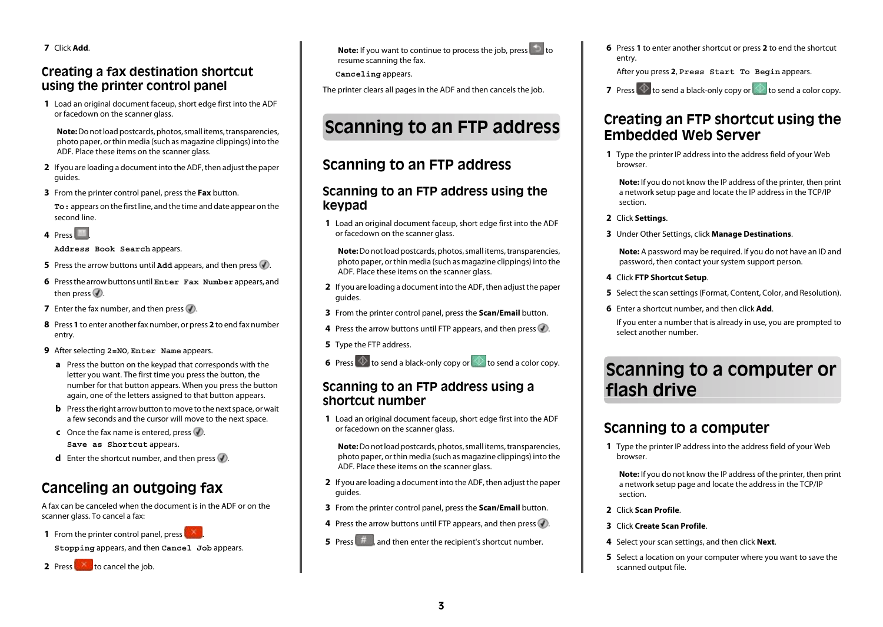**7** Click **Add**.

### **Creating a fax destination shortcut using the printer control panel**

**1** Load an original document faceup, short edge first into the ADF or facedown on the scanner glass.

**Note:** Do not load postcards, photos, small items, transparencies, photo paper, or thin media (such as magazine clippings) into the ADF. Place these items on the scanner glass.

- **2** If you are loading a document into the ADF, then adjust the paper guides.
- **3** From the printer control panel, press the **Fax** button.

**To:** appears on the first line, and the time and date appear on the second line.

4 Press

#### **Address Book Search** appears.

- **5** Press the arrow buttons until **Add** appears, and then press  $\mathbf{\mathcal{P}}$ .
- **6** Press the arrow buttons until **Enter Fax Number** appears, and then press  $\mathcal{D}$ .
- **7** Enter the fax number, and then press  $\mathcal{D}$ .
- **8** Press **1** to enter another fax number, or press **2** to end fax number entry.
- **9** After selecting **2=NO**, **Enter Name** appears.
	- **a** Press the button on the keypad that corresponds with the letter you want. The first time you press the button, the number for that button appears. When you press the button again, one of the letters assigned to that button appears.
	- **b** Press the right arrow button to move to the next space, or wait a few seconds and the cursor will move to the next space.
	- **c** Once the fax name is entered, press  $\mathcal{D}$ . **Save as Shortcut** appears.
	- **d** Enter the shortcut number, and then press  $\mathbf{\nabla}$ .

## **Canceling an outgoing fax**

A fax can be canceled when the document is in the ADF or on the scanner glass. To cancel a fax:

**1** From the printer control panel, press

**Stopping** appears, and then **Cancel Job** appears.

**2** Press to cancel the job.

**Note:** If you want to continue to process the job, press **the interest** resume scanning the fax.

**Canceling** appears.

The printer clears all pages in the ADF and then cancels the job.

# **Scanning to an FTP address**

## **Scanning to an FTP address**

### **Scanning to an FTP address using the keypad**

**1** Load an original document faceup, short edge first into the ADF or facedown on the scanner glass.

**Note:** Do not load postcards, photos, small items, transparencies, photo paper, or thin media (such as magazine clippings) into the ADF. Place these items on the scanner glass.

- **2** If you are loading a document into the ADF, then adjust the paper guides.
- **3** From the printer control panel, press the **Scan/Email** button.
- **4** Press the arrow buttons until FTP appears, and then press  $\mathcal{D}$ .
- **5** Type the FTP address.
- **6** Press  $\Phi$  to send a black-only copy or to send a color copy.

### **Scanning to an FTP address using a shortcut number**

**1** Load an original document faceup, short edge first into the ADF or facedown on the scanner glass.

**Note:** Do not load postcards, photos, small items, transparencies, photo paper, or thin media (such as magazine clippings) into the ADF. Place these items on the scanner glass.

- **2** If you are loading a document into the ADF, then adjust the paper guides.
- **3** From the printer control panel, press the **Scan/Email** button.
- **4** Press the arrow buttons until FTP appears, and then press  $\mathcal{D}$ .
- **5** Press  $\left($   $\#$   $\right)$ , and then enter the recipient's shortcut number.

**6** Press **1** to enter another shortcut or press **2** to end the shortcut entry.

After you press **2**, **Press Start To Begin** appears.

**7** Press  $\Phi$  to send a black-only copy or to send a color copy.

## **Creating an FTP shortcut using the Embedded Web Server**

**1** Type the printer IP address into the address field of your Web browser.

**Note:** If you do not know the IP address of the printer, then print a network setup page and locate the IP address in the TCP/IP section.

- **2** Click **Settings**.
- **3** Under Other Settings, click **Manage Destinations**.

**Note:** A password may be required. If you do not have an ID and password, then contact your system support person.

- **4** Click **FTP Shortcut Setup**.
- **5** Select the scan settings (Format, Content, Color, and Resolution).
- **6** Enter a shortcut number, and then click **Add**.

If you enter a number that is already in use, you are prompted to select another number.

## **Scanning to a computer or flash drive**

## **Scanning to a computer**

**1** Type the printer IP address into the address field of your Web browser.

**Note:** If you do not know the IP address of the printer, then print a network setup page and locate the address in the TCP/IP section.

- **2** Click **Scan Profile**.
- **3** Click **Create Scan Profile**.
- **4** Select your scan settings, and then click **Next**.
- **5** Select a location on your computer where you want to save the scanned output file.